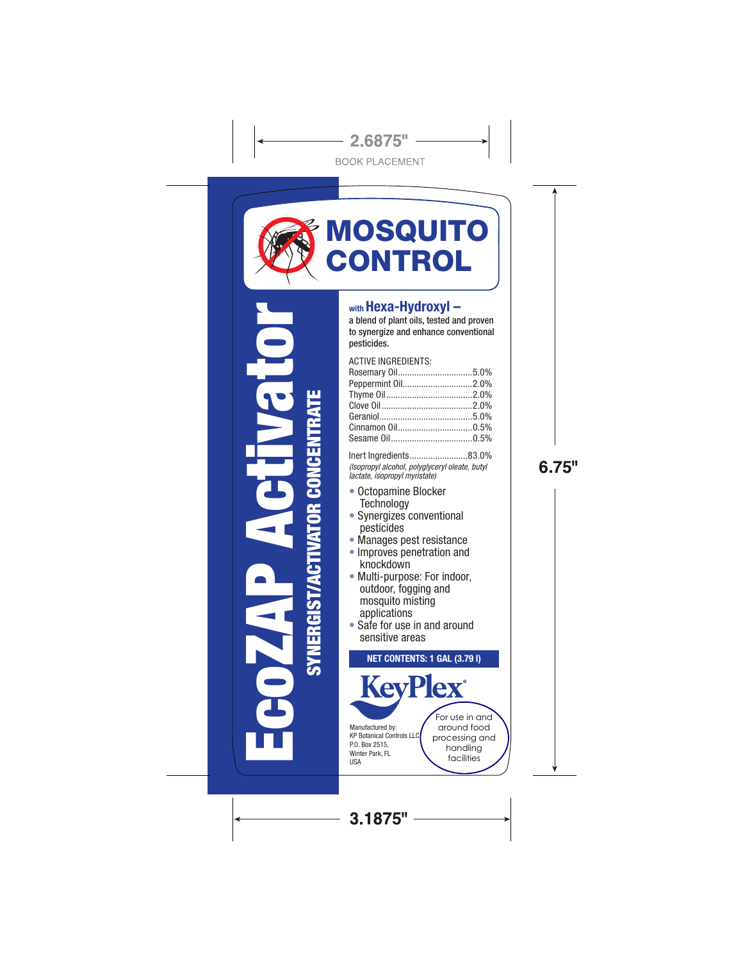

ACTIVE INGREDIENTS: Rosemary Oil................................5.0% Peppermint Oil..............................2.0% Thyme Oil.....................................2.0% Clove Oil.......................................2.0% Geraniol........................................5.0%

Inert Ingredients.........................83.0% *(Isopropyl alcohol, polyglyceryl oleate, butyl lactate, isopropyl myristate)*

Cinnamon Oil................................0.5% Sesame Oil...................................0.5%

• Octopamine Blocker **Technology** 

SYNERGIST/ACTIVATOR CONCENTRATE

**SYNERGIST** 

π

- Synergizes conventional pesticides
- Manages pest resistance
- Improves penetration and knockdown
- Multi-purpose: For indoor, outdoor, fogging and mosquito misting applications
- Safe for use in and around sensitive areas

NET CONTENTS: 1 GAL (3.79 l) **KevPlex** For use in and Manufactured by: around food KP Botanical Controls LLC P.O. Box 2515, processing and

handling facilities

Winter Park, FL USA

 $3.1875" -$ 

6.75"